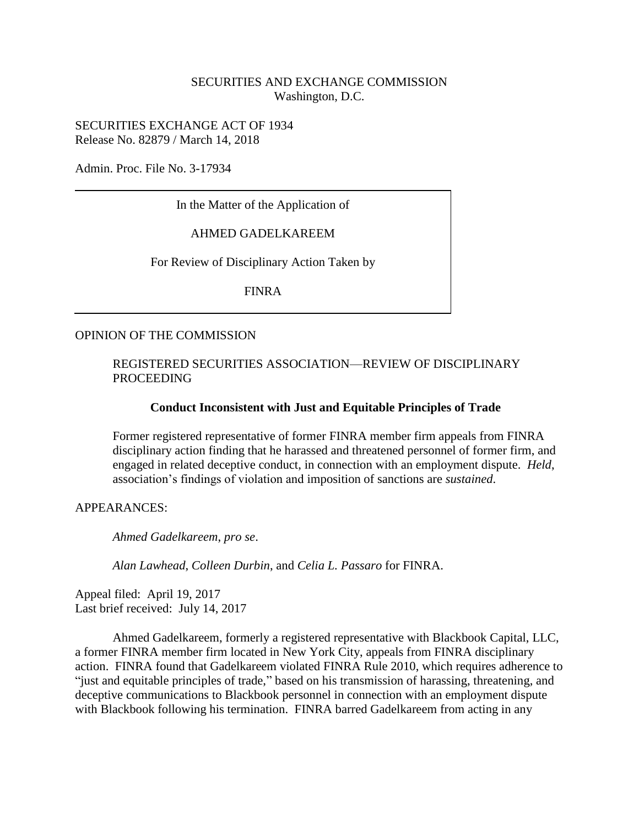### SECURITIES AND EXCHANGE COMMISSION Washington, D.C.

SECURITIES EXCHANGE ACT OF 1934 Release No. 82879 / March 14, 2018

Admin. Proc. File No. 3-17934

In the Matter of the Application of

AHMED GADELKAREEM

For Review of Disciplinary Action Taken by

FINRA

#### OPINION OF THE COMMISSION

#### REGISTERED SECURITIES ASSOCIATION—REVIEW OF DISCIPLINARY PROCEEDING

#### **Conduct Inconsistent with Just and Equitable Principles of Trade**

Former registered representative of former FINRA member firm appeals from FINRA disciplinary action finding that he harassed and threatened personnel of former firm, and engaged in related deceptive conduct, in connection with an employment dispute. *Held*, association's findings of violation and imposition of sanctions are *sustained*.

APPEARANCES:

*Ahmed Gadelkareem*, *pro se*.

*Alan Lawhead*, *Colleen Durbin*, and *Celia L. Passaro* for FINRA.

Appeal filed: April 19, 2017 Last brief received: July 14, 2017

Ahmed Gadelkareem, formerly a registered representative with Blackbook Capital, LLC, a former FINRA member firm located in New York City, appeals from FINRA disciplinary action. FINRA found that Gadelkareem violated FINRA Rule 2010, which requires adherence to "just and equitable principles of trade," based on his transmission of harassing, threatening, and deceptive communications to Blackbook personnel in connection with an employment dispute with Blackbook following his termination. FINRA barred Gadelkareem from acting in any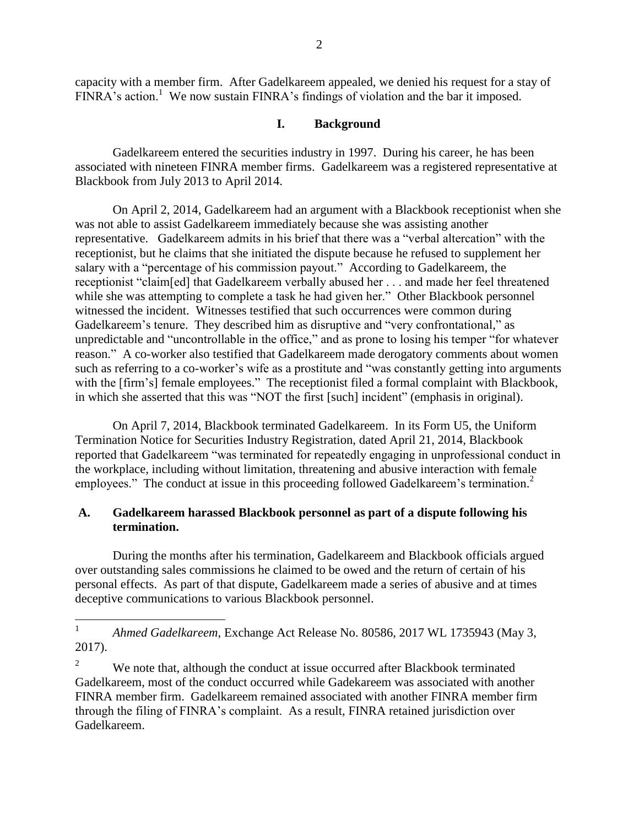capacity with a member firm. After Gadelkareem appealed, we denied his request for a stay of  $FINRA$ 's action.<sup>1</sup> We now sustain  $FINRA$ 's findings of violation and the bar it imposed.

# **I. Background**

Gadelkareem entered the securities industry in 1997. During his career, he has been associated with nineteen FINRA member firms. Gadelkareem was a registered representative at Blackbook from July 2013 to April 2014.

On April 2, 2014, Gadelkareem had an argument with a Blackbook receptionist when she was not able to assist Gadelkareem immediately because she was assisting another representative. Gadelkareem admits in his brief that there was a "verbal altercation" with the receptionist, but he claims that she initiated the dispute because he refused to supplement her salary with a "percentage of his commission payout." According to Gadelkareem, the receptionist "claim[ed] that Gadelkareem verbally abused her . . . and made her feel threatened while she was attempting to complete a task he had given her." Other Blackbook personnel witnessed the incident. Witnesses testified that such occurrences were common during Gadelkareem's tenure. They described him as disruptive and "very confrontational," as unpredictable and "uncontrollable in the office," and as prone to losing his temper "for whatever reason." A co-worker also testified that Gadelkareem made derogatory comments about women such as referring to a co-worker's wife as a prostitute and "was constantly getting into arguments with the [firm's] female employees." The receptionist filed a formal complaint with Blackbook, in which she asserted that this was "NOT the first [such] incident" (emphasis in original).

On April 7, 2014, Blackbook terminated Gadelkareem. In its Form U5, the Uniform Termination Notice for Securities Industry Registration, dated April 21, 2014, Blackbook reported that Gadelkareem "was terminated for repeatedly engaging in unprofessional conduct in the workplace, including without limitation, threatening and abusive interaction with female employees." The conduct at issue in this proceeding followed Gadelkareem's termination.<sup>2</sup>

# **A. Gadelkareem harassed Blackbook personnel as part of a dispute following his termination.**

During the months after his termination, Gadelkareem and Blackbook officials argued over outstanding sales commissions he claimed to be owed and the return of certain of his personal effects. As part of that dispute, Gadelkareem made a series of abusive and at times deceptive communications to various Blackbook personnel.

 $\frac{1}{1}$ *Ahmed Gadelkareem*, Exchange Act Release No. 80586, 2017 WL 1735943 (May 3, 2017).

<sup>&</sup>lt;sup>2</sup> We note that, although the conduct at issue occurred after Blackbook terminated Gadelkareem, most of the conduct occurred while Gadekareem was associated with another FINRA member firm. Gadelkareem remained associated with another FINRA member firm through the filing of FINRA's complaint. As a result, FINRA retained jurisdiction over Gadelkareem.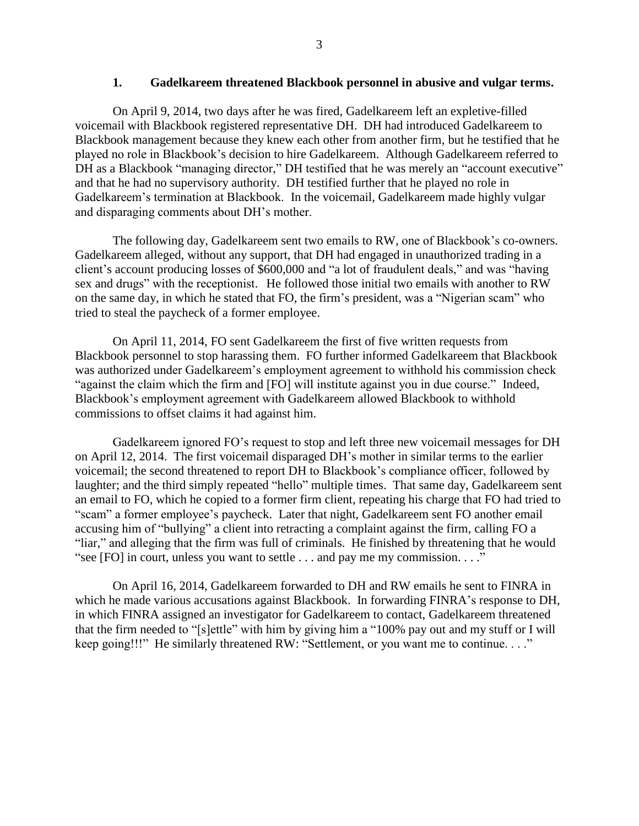#### **1. Gadelkareem threatened Blackbook personnel in abusive and vulgar terms.**

On April 9, 2014, two days after he was fired, Gadelkareem left an expletive-filled voicemail with Blackbook registered representative DH. DH had introduced Gadelkareem to Blackbook management because they knew each other from another firm, but he testified that he played no role in Blackbook's decision to hire Gadelkareem. Although Gadelkareem referred to DH as a Blackbook "managing director," DH testified that he was merely an "account executive" and that he had no supervisory authority. DH testified further that he played no role in Gadelkareem's termination at Blackbook. In the voicemail, Gadelkareem made highly vulgar and disparaging comments about DH's mother.

The following day, Gadelkareem sent two emails to RW, one of Blackbook's co-owners. Gadelkareem alleged, without any support, that DH had engaged in unauthorized trading in a client's account producing losses of \$600,000 and "a lot of fraudulent deals," and was "having sex and drugs" with the receptionist. He followed those initial two emails with another to RW on the same day, in which he stated that FO, the firm's president, was a "Nigerian scam" who tried to steal the paycheck of a former employee.

On April 11, 2014, FO sent Gadelkareem the first of five written requests from Blackbook personnel to stop harassing them. FO further informed Gadelkareem that Blackbook was authorized under Gadelkareem's employment agreement to withhold his commission check "against the claim which the firm and [FO] will institute against you in due course." Indeed, Blackbook's employment agreement with Gadelkareem allowed Blackbook to withhold commissions to offset claims it had against him.

Gadelkareem ignored FO's request to stop and left three new voicemail messages for DH on April 12, 2014. The first voicemail disparaged DH's mother in similar terms to the earlier voicemail; the second threatened to report DH to Blackbook's compliance officer, followed by laughter; and the third simply repeated "hello" multiple times. That same day, Gadelkareem sent an email to FO, which he copied to a former firm client, repeating his charge that FO had tried to "scam" a former employee's paycheck. Later that night, Gadelkareem sent FO another email accusing him of "bullying" a client into retracting a complaint against the firm, calling FO a "liar," and alleging that the firm was full of criminals. He finished by threatening that he would "see [FO] in court, unless you want to settle . . . and pay me my commission. . . ."

On April 16, 2014, Gadelkareem forwarded to DH and RW emails he sent to FINRA in which he made various accusations against Blackbook. In forwarding FINRA's response to DH, in which FINRA assigned an investigator for Gadelkareem to contact, Gadelkareem threatened that the firm needed to "[s]ettle" with him by giving him a "100% pay out and my stuff or I will keep going!!!" He similarly threatened RW: "Settlement, or you want me to continue. . . ."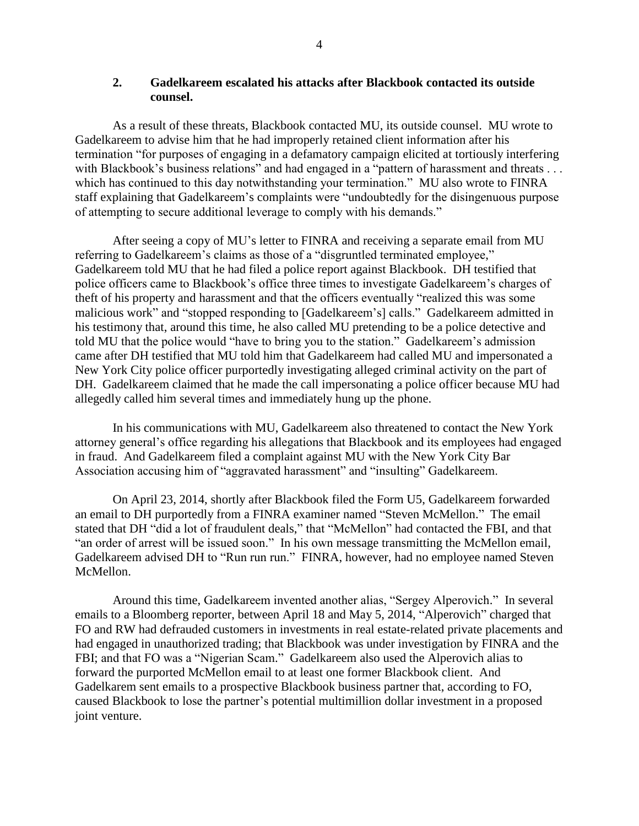### **2. Gadelkareem escalated his attacks after Blackbook contacted its outside counsel.**

As a result of these threats, Blackbook contacted MU, its outside counsel. MU wrote to Gadelkareem to advise him that he had improperly retained client information after his termination "for purposes of engaging in a defamatory campaign elicited at tortiously interfering with Blackbook's business relations" and had engaged in a "pattern of harassment and threats . . . which has continued to this day notwithstanding your termination." MU also wrote to FINRA staff explaining that Gadelkareem's complaints were "undoubtedly for the disingenuous purpose of attempting to secure additional leverage to comply with his demands."

After seeing a copy of MU's letter to FINRA and receiving a separate email from MU referring to Gadelkareem's claims as those of a "disgruntled terminated employee," Gadelkareem told MU that he had filed a police report against Blackbook. DH testified that police officers came to Blackbook's office three times to investigate Gadelkareem's charges of theft of his property and harassment and that the officers eventually "realized this was some malicious work" and "stopped responding to [Gadelkareem's] calls." Gadelkareem admitted in his testimony that, around this time, he also called MU pretending to be a police detective and told MU that the police would "have to bring you to the station." Gadelkareem's admission came after DH testified that MU told him that Gadelkareem had called MU and impersonated a New York City police officer purportedly investigating alleged criminal activity on the part of DH. Gadelkareem claimed that he made the call impersonating a police officer because MU had allegedly called him several times and immediately hung up the phone.

In his communications with MU, Gadelkareem also threatened to contact the New York attorney general's office regarding his allegations that Blackbook and its employees had engaged in fraud. And Gadelkareem filed a complaint against MU with the New York City Bar Association accusing him of "aggravated harassment" and "insulting" Gadelkareem.

On April 23, 2014, shortly after Blackbook filed the Form U5, Gadelkareem forwarded an email to DH purportedly from a FINRA examiner named "Steven McMellon." The email stated that DH "did a lot of fraudulent deals," that "McMellon" had contacted the FBI, and that "an order of arrest will be issued soon." In his own message transmitting the McMellon email, Gadelkareem advised DH to "Run run run." FINRA, however, had no employee named Steven McMellon.

Around this time, Gadelkareem invented another alias, "Sergey Alperovich." In several emails to a Bloomberg reporter, between April 18 and May 5, 2014, "Alperovich" charged that FO and RW had defrauded customers in investments in real estate-related private placements and had engaged in unauthorized trading; that Blackbook was under investigation by FINRA and the FBI; and that FO was a "Nigerian Scam." Gadelkareem also used the Alperovich alias to forward the purported McMellon email to at least one former Blackbook client. And Gadelkarem sent emails to a prospective Blackbook business partner that, according to FO, caused Blackbook to lose the partner's potential multimillion dollar investment in a proposed joint venture.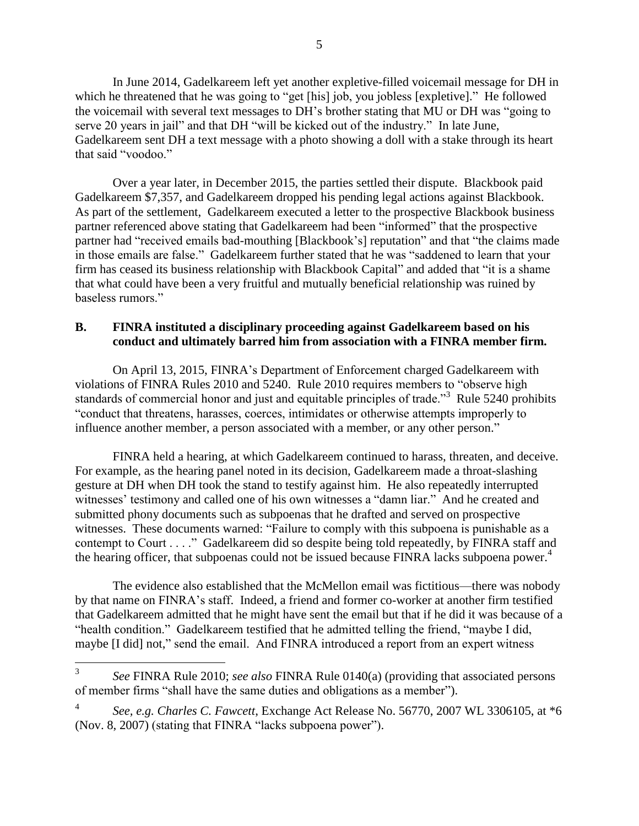In June 2014, Gadelkareem left yet another expletive-filled voicemail message for DH in which he threatened that he was going to "get [his] job, you jobless [expletive]." He followed the voicemail with several text messages to DH's brother stating that MU or DH was "going to serve 20 years in jail" and that DH "will be kicked out of the industry." In late June, Gadelkareem sent DH a text message with a photo showing a doll with a stake through its heart that said "voodoo."

Over a year later, in December 2015, the parties settled their dispute. Blackbook paid Gadelkareem \$7,357, and Gadelkareem dropped his pending legal actions against Blackbook. As part of the settlement, Gadelkareem executed a letter to the prospective Blackbook business partner referenced above stating that Gadelkareem had been "informed" that the prospective partner had "received emails bad-mouthing [Blackbook's] reputation" and that "the claims made in those emails are false." Gadelkareem further stated that he was "saddened to learn that your firm has ceased its business relationship with Blackbook Capital" and added that "it is a shame that what could have been a very fruitful and mutually beneficial relationship was ruined by baseless rumors."

### **B. FINRA instituted a disciplinary proceeding against Gadelkareem based on his conduct and ultimately barred him from association with a FINRA member firm.**

On April 13, 2015, FINRA's Department of Enforcement charged Gadelkareem with violations of FINRA Rules 2010 and 5240. Rule 2010 requires members to "observe high standards of commercial honor and just and equitable principles of trade."<sup>3</sup> Rule 5240 prohibits "conduct that threatens, harasses, coerces, intimidates or otherwise attempts improperly to influence another member, a person associated with a member, or any other person."

FINRA held a hearing, at which Gadelkareem continued to harass, threaten, and deceive. For example, as the hearing panel noted in its decision, Gadelkareem made a throat-slashing gesture at DH when DH took the stand to testify against him. He also repeatedly interrupted witnesses' testimony and called one of his own witnesses a "damn liar." And he created and submitted phony documents such as subpoenas that he drafted and served on prospective witnesses. These documents warned: "Failure to comply with this subpoena is punishable as a contempt to Court . . . ." Gadelkareem did so despite being told repeatedly, by FINRA staff and the hearing officer, that subpoenas could not be issued because FINRA lacks subpoena power. 4

The evidence also established that the McMellon email was fictitious—there was nobody by that name on FINRA's staff. Indeed, a friend and former co-worker at another firm testified that Gadelkareem admitted that he might have sent the email but that if he did it was because of a "health condition." Gadelkareem testified that he admitted telling the friend, "maybe I did, maybe [I did] not," send the email. And FINRA introduced a report from an expert witness

 3 *See* FINRA Rule 2010; *see also* FINRA Rule 0140(a) (providing that associated persons of member firms "shall have the same duties and obligations as a member").

<sup>4</sup> *See, e.g. Charles C. Fawcett*, Exchange Act Release No. 56770, 2007 WL 3306105, at \*6 (Nov. 8, 2007) (stating that FINRA "lacks subpoena power").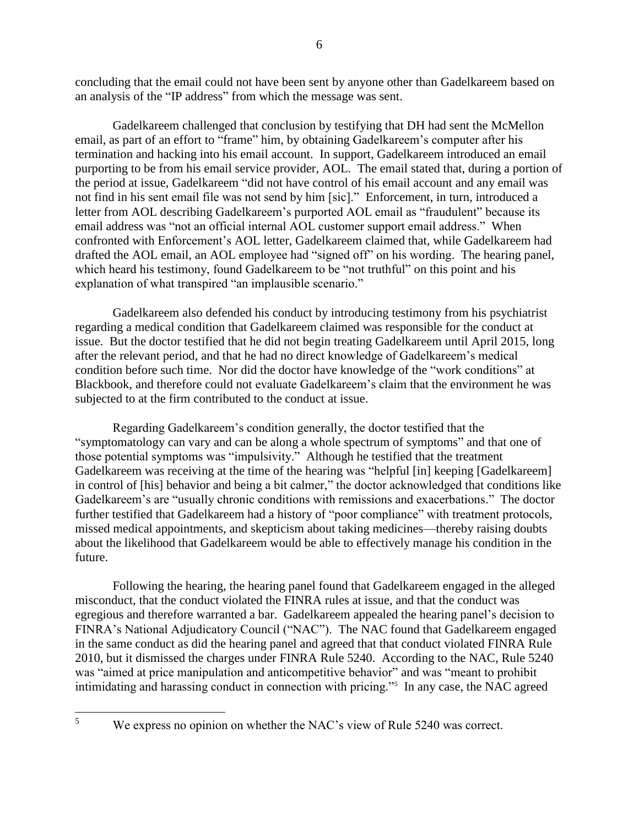concluding that the email could not have been sent by anyone other than Gadelkareem based on an analysis of the "IP address" from which the message was sent.

Gadelkareem challenged that conclusion by testifying that DH had sent the McMellon email, as part of an effort to "frame" him, by obtaining Gadelkareem's computer after his termination and hacking into his email account. In support, Gadelkareem introduced an email purporting to be from his email service provider, AOL. The email stated that, during a portion of the period at issue, Gadelkareem "did not have control of his email account and any email was not find in his sent email file was not send by him [sic]." Enforcement, in turn, introduced a letter from AOL describing Gadelkareem's purported AOL email as "fraudulent" because its email address was "not an official internal AOL customer support email address." When confronted with Enforcement's AOL letter, Gadelkareem claimed that, while Gadelkareem had drafted the AOL email, an AOL employee had "signed off" on his wording. The hearing panel, which heard his testimony, found Gadelkareem to be "not truthful" on this point and his explanation of what transpired "an implausible scenario."

Gadelkareem also defended his conduct by introducing testimony from his psychiatrist regarding a medical condition that Gadelkareem claimed was responsible for the conduct at issue. But the doctor testified that he did not begin treating Gadelkareem until April 2015, long after the relevant period, and that he had no direct knowledge of Gadelkareem's medical condition before such time. Nor did the doctor have knowledge of the "work conditions" at Blackbook, and therefore could not evaluate Gadelkareem's claim that the environment he was subjected to at the firm contributed to the conduct at issue.

Regarding Gadelkareem's condition generally, the doctor testified that the "symptomatology can vary and can be along a whole spectrum of symptoms" and that one of those potential symptoms was "impulsivity." Although he testified that the treatment Gadelkareem was receiving at the time of the hearing was "helpful [in] keeping [Gadelkareem] in control of [his] behavior and being a bit calmer," the doctor acknowledged that conditions like Gadelkareem's are "usually chronic conditions with remissions and exacerbations." The doctor further testified that Gadelkareem had a history of "poor compliance" with treatment protocols, missed medical appointments, and skepticism about taking medicines—thereby raising doubts about the likelihood that Gadelkareem would be able to effectively manage his condition in the future.

Following the hearing, the hearing panel found that Gadelkareem engaged in the alleged misconduct, that the conduct violated the FINRA rules at issue, and that the conduct was egregious and therefore warranted a bar. Gadelkareem appealed the hearing panel's decision to FINRA's National Adjudicatory Council ("NAC"). The NAC found that Gadelkareem engaged in the same conduct as did the hearing panel and agreed that that conduct violated FINRA Rule 2010, but it dismissed the charges under FINRA Rule 5240. According to the NAC, Rule 5240 was "aimed at price manipulation and anticompetitive behavior" and was "meant to prohibit intimidating and harassing conduct in connection with pricing."<sup>5</sup> In any case, the NAC agreed

We express no opinion on whether the NAC's view of Rule 5240 was correct.

<sup>5</sup>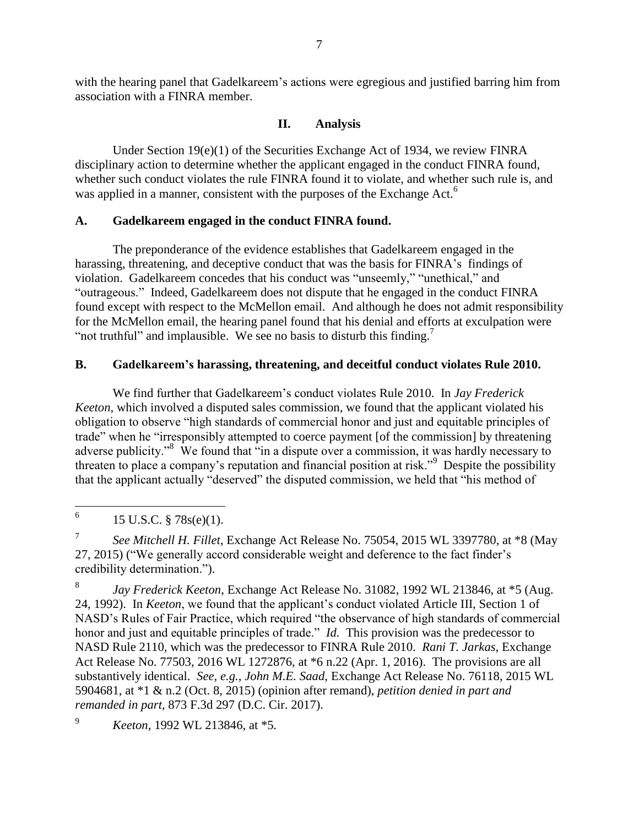with the hearing panel that Gadelkareem's actions were egregious and justified barring him from association with a FINRA member.

# **II. Analysis**

Under Section 19(e)(1) of the Securities Exchange Act of 1934, we review FINRA disciplinary action to determine whether the applicant engaged in the conduct FINRA found, whether such conduct violates the rule FINRA found it to violate, and whether such rule is, and was applied in a manner, consistent with the purposes of the Exchange Act.<sup>6</sup>

# **A. Gadelkareem engaged in the conduct FINRA found.**

The preponderance of the evidence establishes that Gadelkareem engaged in the harassing, threatening, and deceptive conduct that was the basis for FINRA's findings of violation. Gadelkareem concedes that his conduct was "unseemly," "unethical," and "outrageous." Indeed, Gadelkareem does not dispute that he engaged in the conduct FINRA found except with respect to the McMellon email. And although he does not admit responsibility for the McMellon email, the hearing panel found that his denial and efforts at exculpation were "not truthful" and implausible. We see no basis to disturb this finding.<sup>7</sup>

# **B. Gadelkareem's harassing, threatening, and deceitful conduct violates Rule 2010.**

We find further that Gadelkareem's conduct violates Rule 2010. In *Jay Frederick Keeton*, which involved a disputed sales commission, we found that the applicant violated his obligation to observe "high standards of commercial honor and just and equitable principles of trade" when he "irresponsibly attempted to coerce payment [of the commission] by threatening adverse publicity."<sup>8</sup> We found that "in a dispute over a commission, it was hardly necessary to threaten to place a company's reputation and financial position at risk."<sup>9</sup> Despite the possibility that the applicant actually "deserved" the disputed commission, we held that "his method of

8 *Jay Frederick Keeton*, Exchange Act Release No. 31082, 1992 WL 213846, at \*5 (Aug. 24, 1992). In *Keeton*, we found that the applicant's conduct violated Article III, Section 1 of NASD's Rules of Fair Practice, which required "the observance of high standards of commercial honor and just and equitable principles of trade." *Id.* This provision was the predecessor to NASD Rule 2110, which was the predecessor to FINRA Rule 2010. *Rani T. Jarkas*, Exchange Act Release No. 77503, 2016 WL 1272876, at \*6 n.22 (Apr. 1, 2016). The provisions are all substantively identical. *See, e.g., John M.E. Saad,* Exchange Act Release No. 76118, 2015 WL 5904681, at \*1 & n.2 (Oct. 8, 2015) (opinion after remand), *petition denied in part and remanded in part*, 873 F.3d 297 (D.C. Cir. 2017).

<sup>9</sup> *Keeton*, 1992 WL 213846, at \*5*.*

 6 15 U.S.C. § 78s(e)(1).

<sup>7</sup> *See Mitchell H. Fillet*, Exchange Act Release No. 75054, 2015 WL 3397780, at \*8 (May 27, 2015) ("We generally accord considerable weight and deference to the fact finder's credibility determination.").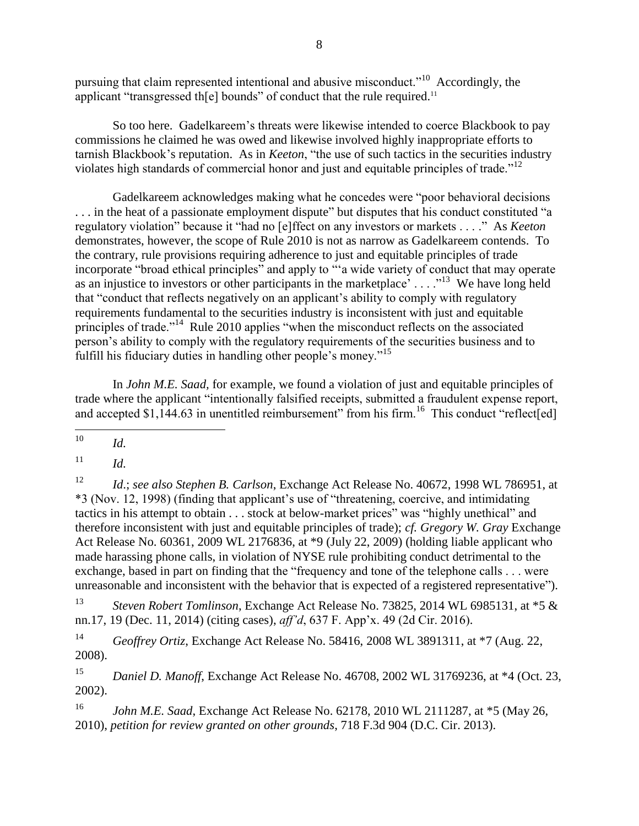pursuing that claim represented intentional and abusive misconduct."<sup>10</sup> Accordingly, the applicant "transgressed th $[e]$  bounds" of conduct that the rule required.<sup>11</sup>

So too here. Gadelkareem's threats were likewise intended to coerce Blackbook to pay commissions he claimed he was owed and likewise involved highly inappropriate efforts to tarnish Blackbook's reputation. As in *Keeton*, "the use of such tactics in the securities industry violates high standards of commercial honor and just and equitable principles of trade."<sup>12</sup>

Gadelkareem acknowledges making what he concedes were "poor behavioral decisions . . . in the heat of a passionate employment dispute" but disputes that his conduct constituted "a regulatory violation" because it "had no [e]ffect on any investors or markets . . . ." As *Keeton*  demonstrates, however, the scope of Rule 2010 is not as narrow as Gadelkareem contends. To the contrary, rule provisions requiring adherence to just and equitable principles of trade incorporate "broad ethical principles" and apply to "'a wide variety of conduct that may operate as an injustice to investors or other participants in the marketplace' . . . . "<sup>13</sup> We have long held that "conduct that reflects negatively on an applicant's ability to comply with regulatory requirements fundamental to the securities industry is inconsistent with just and equitable principles of trade."<sup>14</sup> Rule 2010 applies "when the misconduct reflects on the associated person's ability to comply with the regulatory requirements of the securities business and to fulfill his fiduciary duties in handling other people's money."<sup>15</sup>

In *John M.E. Saad,* for example, we found a violation of just and equitable principles of trade where the applicant "intentionally falsified receipts, submitted a fraudulent expense report, and accepted  $$1,144.63$  in unentitled reimbursement" from his firm.<sup>16</sup> This conduct "reflect[ed]

 $11$  *Id.* 

<sup>12</sup> *Id*.; *see also Stephen B. Carlson*, Exchange Act Release No. 40672, 1998 WL 786951, at \*3 (Nov. 12, 1998) (finding that applicant's use of "threatening, coercive, and intimidating tactics in his attempt to obtain . . . stock at below-market prices" was "highly unethical" and therefore inconsistent with just and equitable principles of trade); *cf. Gregory W. Gray* Exchange Act Release No. 60361, 2009 WL 2176836, at \*9 (July 22, 2009) (holding liable applicant who made harassing phone calls, in violation of NYSE rule prohibiting conduct detrimental to the exchange, based in part on finding that the "frequency and tone of the telephone calls . . . were unreasonable and inconsistent with the behavior that is expected of a registered representative").

<sup>13</sup> *Steven Robert Tomlinson*, Exchange Act Release No. 73825, 2014 WL 6985131, at \*5 & nn.17, 19 (Dec. 11, 2014) (citing cases), *aff'd*, 637 F. App'x. 49 (2d Cir. 2016).

<sup>14</sup> *Geoffrey Ortiz*, Exchange Act Release No. 58416, 2008 WL 3891311, at \*7 (Aug. 22, 2008).

<sup>15</sup> *Daniel D. Manoff*, Exchange Act Release No. 46708, 2002 WL 31769236, at \*4 (Oct. 23, 2002).

<sup>16</sup> *John M.E. Saad*, Exchange Act Release No. 62178, 2010 WL 2111287, at \*5 (May 26, 2010), *petition for review granted on other grounds*, 718 F.3d 904 (D.C. Cir. 2013).

<sup>10</sup> <sup>10</sup> *Id.*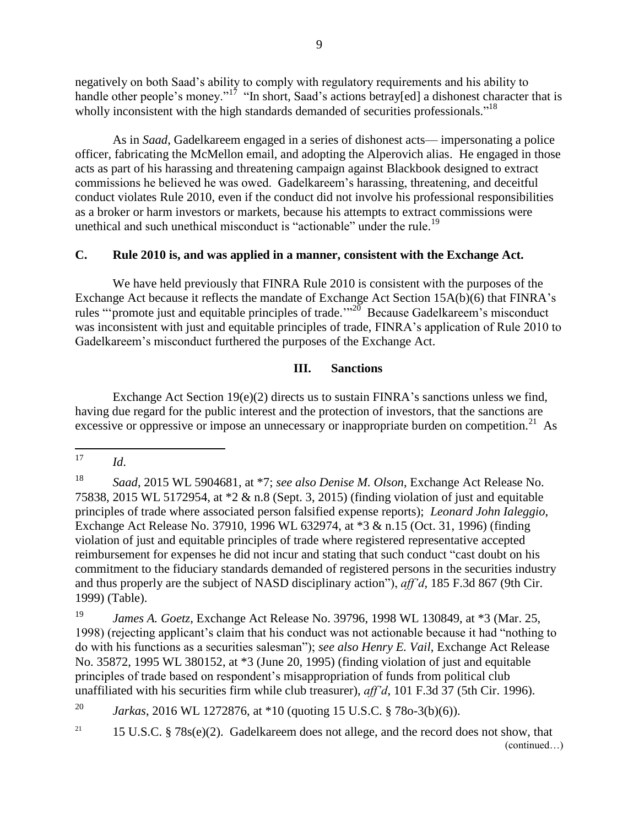negatively on both Saad's ability to comply with regulatory requirements and his ability to handle other people's money."<sup>17</sup> "In short, Saad's actions betray[ed] a dishonest character that is wholly inconsistent with the high standards demanded of securities professionals."<sup>18</sup>

As in *Saad*, Gadelkareem engaged in a series of dishonest acts— impersonating a police officer, fabricating the McMellon email, and adopting the Alperovich alias. He engaged in those acts as part of his harassing and threatening campaign against Blackbook designed to extract commissions he believed he was owed. Gadelkareem's harassing, threatening, and deceitful conduct violates Rule 2010, even if the conduct did not involve his professional responsibilities as a broker or harm investors or markets, because his attempts to extract commissions were unethical and such unethical misconduct is "actionable" under the rule.<sup>19</sup>

#### **C. Rule 2010 is, and was applied in a manner, consistent with the Exchange Act.**

We have held previously that FINRA Rule 2010 is consistent with the purposes of the Exchange Act because it reflects the mandate of Exchange Act Section 15A(b)(6) that FINRA's rules "promote just and equitable principles of trade."<sup>20</sup> Because Gadelkareem's misconduct was inconsistent with just and equitable principles of trade, FINRA's application of Rule 2010 to Gadelkareem's misconduct furthered the purposes of the Exchange Act.

### **III. Sanctions**

Exchange Act Section  $19(e)(2)$  directs us to sustain FINRA's sanctions unless we find, having due regard for the public interest and the protection of investors, that the sanctions are excessive or oppressive or impose an unnecessary or inappropriate burden on competition.<sup>21</sup> As

<sup>19</sup> *James A. Goetz*, Exchange Act Release No. 39796, 1998 WL 130849, at \*3 (Mar. 25, 1998) (rejecting applicant's claim that his conduct was not actionable because it had "nothing to do with his functions as a securities salesman"); *see also Henry E. Vail*, Exchange Act Release No. 35872, 1995 WL 380152, at \*3 (June 20, 1995) (finding violation of just and equitable principles of trade based on respondent's misappropriation of funds from political club unaffiliated with his securities firm while club treasurer), *aff'd*, 101 F.3d 37 (5th Cir. 1996).

<sup>20</sup> *Jarkas*, 2016 WL 1272876, at \*10 (quoting 15 U.S.C. § 78o-3(b)(6)).

<sup>17</sup> *Id.* 

<sup>18</sup> *Saad*, 2015 WL 5904681, at \*7; *see also Denise M. Olson*, Exchange Act Release No. 75838, 2015 WL 5172954, at \*2 & n.8 (Sept. 3, 2015) (finding violation of just and equitable principles of trade where associated person falsified expense reports); *Leonard John Ialeggio*, Exchange Act Release No. 37910, 1996 WL 632974, at \*3 & n.15 (Oct. 31, 1996) (finding violation of just and equitable principles of trade where registered representative accepted reimbursement for expenses he did not incur and stating that such conduct "cast doubt on his commitment to the fiduciary standards demanded of registered persons in the securities industry and thus properly are the subject of NASD disciplinary action"), *aff'd*, 185 F.3d 867 (9th Cir. 1999) (Table).

<sup>&</sup>lt;sup>21</sup> 15 U.S.C. § 78 $s(e)(2)$ . Gadelkareem does not allege, and the record does not show, that (continued…)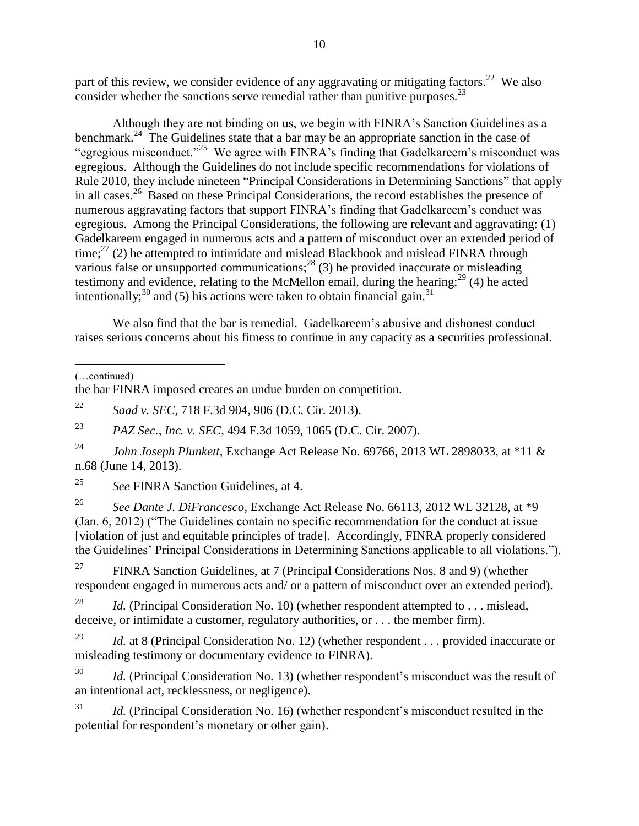part of this review, we consider evidence of any aggravating or mitigating factors.<sup>22</sup> We also consider whether the sanctions serve remedial rather than punitive purposes. $^{23}$ 

Although they are not binding on us, we begin with FINRA's Sanction Guidelines as a benchmark.<sup>24</sup> The Guidelines state that a bar may be an appropriate sanction in the case of "egregious misconduct."<sup>25</sup> We agree with FINRA's finding that Gadelkareem's misconduct was egregious. Although the Guidelines do not include specific recommendations for violations of Rule 2010, they include nineteen "Principal Considerations in Determining Sanctions" that apply in all cases.<sup>26</sup> Based on these Principal Considerations, the record establishes the presence of numerous aggravating factors that support FINRA's finding that Gadelkareem's conduct was egregious. Among the Principal Considerations, the following are relevant and aggravating: (1) Gadelkareem engaged in numerous acts and a pattern of misconduct over an extended period of  $time$ ;<sup>27</sup> (2) he attempted to intimidate and mislead Blackbook and mislead FINRA through various false or unsupported communications;  $28$  (3) he provided inaccurate or misleading testimony and evidence, relating to the McMellon email, during the hearing; $^{29}$  (4) he acted intentionally;<sup>30</sup> and (5) his actions were taken to obtain financial gain.<sup>31</sup>

We also find that the bar is remedial. Gadelkareem's abusive and dishonest conduct raises serious concerns about his fitness to continue in any capacity as a securities professional.

 $\overline{a}$ 

the bar FINRA imposed creates an undue burden on competition.

<sup>22</sup> *Saad v. SEC*, 718 F.3d 904, 906 (D.C. Cir. 2013).

<sup>23</sup> *PAZ Sec., Inc. v. SEC*, 494 F.3d 1059, 1065 (D.C. Cir. 2007).

<sup>24</sup> *John Joseph Plunkett*, Exchange Act Release No. 69766, 2013 WL 2898033, at \*11 & n.68 (June 14, 2013).

<sup>25</sup> *See* FINRA Sanction Guidelines, at 4.

<sup>26</sup> *See Dante J. DiFrancesco*, Exchange Act Release No. 66113, 2012 WL 32128, at \*9 (Jan. 6, 2012) ("The Guidelines contain no specific recommendation for the conduct at issue [violation of just and equitable principles of trade]. Accordingly, FINRA properly considered the Guidelines' Principal Considerations in Determining Sanctions applicable to all violations.").

<sup>27</sup> FINRA Sanction Guidelines, at 7 (Principal Considerations Nos. 8 and 9) (whether respondent engaged in numerous acts and/ or a pattern of misconduct over an extended period).

<sup>28</sup> *Id.* (Principal Consideration No. 10) (whether respondent attempted to . . . mislead, deceive, or intimidate a customer, regulatory authorities, or . . . the member firm).

<sup>29</sup> *Id.* at 8 (Principal Consideration No. 12) (whether respondent . . . provided inaccurate or misleading testimony or documentary evidence to FINRA).

*Id.* (Principal Consideration No. 13) (whether respondent's misconduct was the result of an intentional act, recklessness, or negligence).

<sup>31</sup> *Id.* (Principal Consideration No. 16) (whether respondent's misconduct resulted in the potential for respondent's monetary or other gain).

<sup>(…</sup>continued)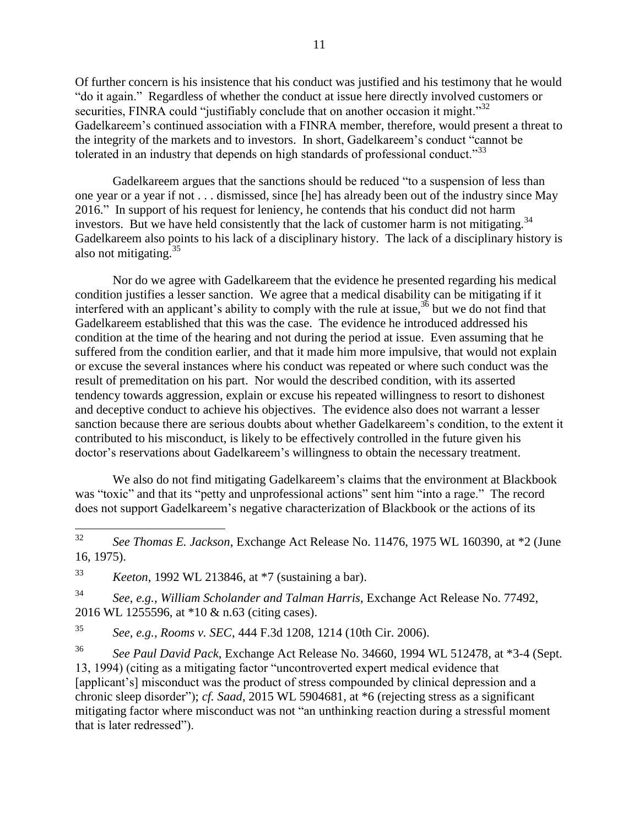Of further concern is his insistence that his conduct was justified and his testimony that he would "do it again." Regardless of whether the conduct at issue here directly involved customers or securities, FINRA could "justifiably conclude that on another occasion it might."<sup>32</sup> Gadelkareem's continued association with a FINRA member, therefore, would present a threat to the integrity of the markets and to investors. In short, Gadelkareem's conduct "cannot be tolerated in an industry that depends on high standards of professional conduct.<sup>33</sup>

Gadelkareem argues that the sanctions should be reduced "to a suspension of less than one year or a year if not . . . dismissed, since [he] has already been out of the industry since May 2016." In support of his request for leniency, he contends that his conduct did not harm investors. But we have held consistently that the lack of customer harm is not mitigating.<sup>34</sup> Gadelkareem also points to his lack of a disciplinary history. The lack of a disciplinary history is also not mitigating.<sup>35</sup>

Nor do we agree with Gadelkareem that the evidence he presented regarding his medical condition justifies a lesser sanction. We agree that a medical disability can be mitigating if it interfered with an applicant's ability to comply with the rule at issue,  $36$  but we do not find that Gadelkareem established that this was the case. The evidence he introduced addressed his condition at the time of the hearing and not during the period at issue. Even assuming that he suffered from the condition earlier, and that it made him more impulsive, that would not explain or excuse the several instances where his conduct was repeated or where such conduct was the result of premeditation on his part. Nor would the described condition, with its asserted tendency towards aggression, explain or excuse his repeated willingness to resort to dishonest and deceptive conduct to achieve his objectives. The evidence also does not warrant a lesser sanction because there are serious doubts about whether Gadelkareem's condition, to the extent it contributed to his misconduct, is likely to be effectively controlled in the future given his doctor's reservations about Gadelkareem's willingness to obtain the necessary treatment.

We also do not find mitigating Gadelkareem's claims that the environment at Blackbook was "toxic" and that its "petty and unprofessional actions" sent him "into a rage." The record does not support Gadelkareem's negative characterization of Blackbook or the actions of its

<sup>33</sup> *Keeton*, 1992 WL 213846, at \*7 (sustaining a bar).

<sup>34</sup> *See, e.g., William Scholander and Talman Harris*, Exchange Act Release No. 77492, 2016 WL 1255596, at \*10 & n.63 (citing cases).

<sup>35</sup> *See, e.g., Rooms v. SEC*, 444 F.3d 1208, 1214 (10th Cir. 2006).

<sup>36</sup> *See Paul David Pack*, Exchange Act Release No. 34660, 1994 WL 512478, at \*3-4 (Sept. 13, 1994) (citing as a mitigating factor "uncontroverted expert medical evidence that [applicant's] misconduct was the product of stress compounded by clinical depression and a chronic sleep disorder"); *cf. Saad*, 2015 WL 5904681, at \*6 (rejecting stress as a significant mitigating factor where misconduct was not "an unthinking reaction during a stressful moment that is later redressed").

<sup>32</sup> <sup>32</sup> *See Thomas E. Jackson*, Exchange Act Release No. 11476, 1975 WL 160390, at \*2 (June 16, 1975).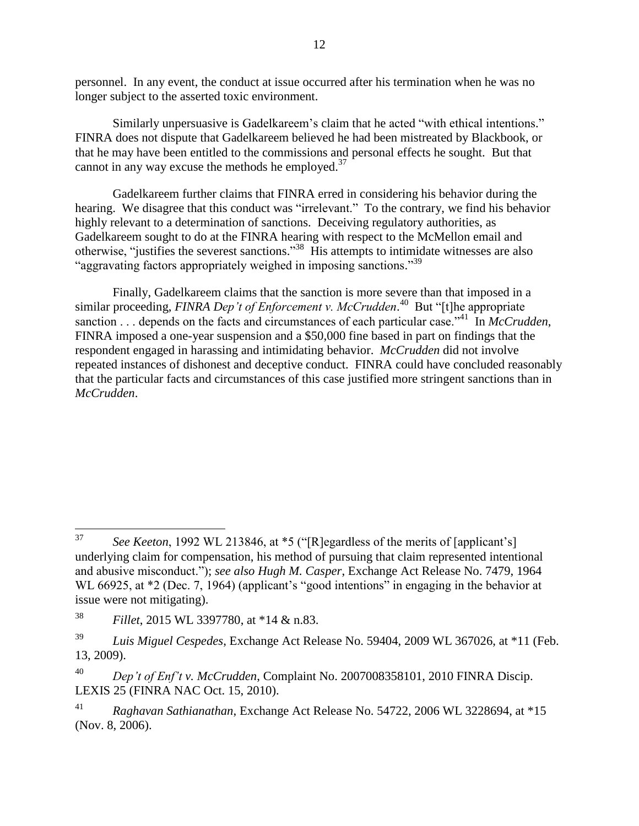personnel. In any event, the conduct at issue occurred after his termination when he was no longer subject to the asserted toxic environment.

Similarly unpersuasive is Gadelkareem's claim that he acted "with ethical intentions." FINRA does not dispute that Gadelkareem believed he had been mistreated by Blackbook, or that he may have been entitled to the commissions and personal effects he sought. But that cannot in any way excuse the methods he employed. $37$ 

Gadelkareem further claims that FINRA erred in considering his behavior during the hearing. We disagree that this conduct was "irrelevant." To the contrary, we find his behavior highly relevant to a determination of sanctions. Deceiving regulatory authorities, as Gadelkareem sought to do at the FINRA hearing with respect to the McMellon email and otherwise, "justifies the severest sanctions."<sup>38</sup> His attempts to intimidate witnesses are also "aggravating factors appropriately weighed in imposing sanctions." 39

Finally, Gadelkareem claims that the sanction is more severe than that imposed in a similar proceeding, *FINRA Dep't of Enforcement v. McCrudden*. <sup>40</sup> But "[t]he appropriate sanction . . . depends on the facts and circumstances of each particular case.<sup>341</sup> In *McCrudden*, FINRA imposed a one-year suspension and a \$50,000 fine based in part on findings that the respondent engaged in harassing and intimidating behavior. *McCrudden* did not involve repeated instances of dishonest and deceptive conduct. FINRA could have concluded reasonably that the particular facts and circumstances of this case justified more stringent sanctions than in *McCrudden*.

<sup>37</sup> See *Keeton*, 1992 WL 213846, at \*5 ("[R]egardless of the merits of [applicant's] underlying claim for compensation, his method of pursuing that claim represented intentional and abusive misconduct."); *see also Hugh M. Casper*, Exchange Act Release No. 7479, 1964 WL 66925, at  $*2$  (Dec. 7, 1964) (applicant's "good intentions" in engaging in the behavior at issue were not mitigating).

<sup>38</sup> *Fillet*, 2015 WL 3397780, at \*14 & n.83.

<sup>39</sup> *Luis Miguel Cespedes*, Exchange Act Release No. 59404, 2009 WL 367026, at \*11 (Feb. 13, 2009).

<sup>40</sup> *Dep't of Enf't v. McCrudden*, Complaint No. 2007008358101, 2010 FINRA Discip. LEXIS 25 (FINRA NAC Oct. 15, 2010).

<sup>41</sup> *Raghavan Sathianathan*, Exchange Act Release No. 54722, 2006 WL 3228694, at \*15 (Nov. 8, 2006).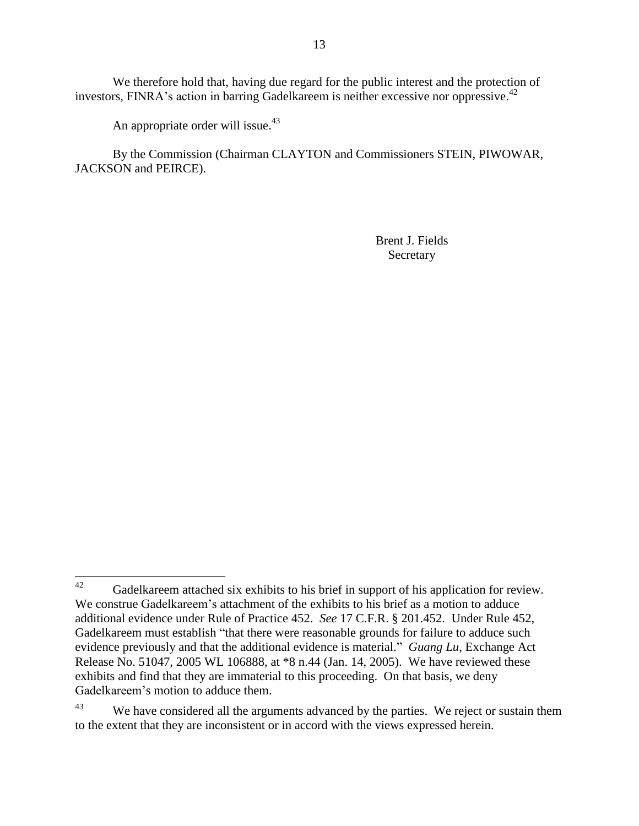We therefore hold that, having due regard for the public interest and the protection of investors, FINRA's action in barring Gadelkareem is neither excessive nor oppressive. 42

An appropriate order will issue.<sup>43</sup>

By the Commission (Chairman CLAYTON and Commissioners STEIN, PIWOWAR, JACKSON and PEIRCE).

> Brent J. Fields Secretary

<sup>42</sup> Gadelkareem attached six exhibits to his brief in support of his application for review. We construe Gadelkareem's attachment of the exhibits to his brief as a motion to adduce additional evidence under Rule of Practice 452. *See* 17 C.F.R. § 201.452. Under Rule 452, Gadelkareem must establish "that there were reasonable grounds for failure to adduce such evidence previously and that the additional evidence is material." *Guang Lu*, Exchange Act Release No. 51047, 2005 WL 106888, at \*8 n.44 (Jan. 14, 2005). We have reviewed these exhibits and find that they are immaterial to this proceeding. On that basis, we deny Gadelkareem's motion to adduce them.

<sup>&</sup>lt;sup>43</sup> We have considered all the arguments advanced by the parties. We reject or sustain them to the extent that they are inconsistent or in accord with the views expressed herein.